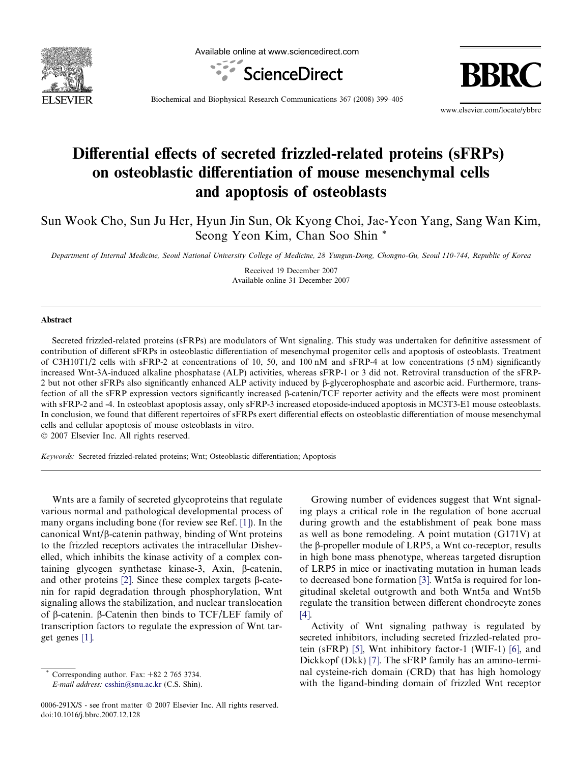

Available online at www.sciencedirect.com



Biochemical and Biophysical Research Communications 367 (2008) 399–405

www.elsevier.com/locate/ybbrc

# Differential effects of secreted frizzled-related proteins (sFRPs) on osteoblastic differentiation of mouse mesenchymal cells and apoptosis of osteoblasts

Sun Wook Cho, Sun Ju Her, Hyun Jin Sun, Ok Kyong Choi, Jae-Yeon Yang, Sang Wan Kim, Seong Yeon Kim, Chan Soo Shin \*

Department of Internal Medicine, Seoul National University College of Medicine, 28 Yungun-Dong, Chongno-Gu, Seoul 110-744, Republic of Korea

Received 19 December 2007 Available online 31 December 2007

#### Abstract

Secreted frizzled-related proteins (sFRPs) are modulators of Wnt signaling. This study was undertaken for definitive assessment of contribution of different sFRPs in osteoblastic differentiation of mesenchymal progenitor cells and apoptosis of osteoblasts. Treatment of C3H10T1/2 cells with sFRP-2 at concentrations of 10, 50, and 100 nM and sFRP-4 at low concentrations (5 nM) significantly increased Wnt-3A-induced alkaline phosphatase (ALP) activities, whereas sFRP-1 or 3 did not. Retroviral transduction of the sFRP-2 but not other sFRPs also significantly enhanced ALP activity induced by  $\beta$ -glycerophosphate and ascorbic acid. Furthermore, transfection of all the sFRP expression vectors significantly increased b-catenin/TCF reporter activity and the effects were most prominent with sFRP-2 and -4. In osteoblast apoptosis assay, only sFRP-3 increased etoposide-induced apoptosis in MC3T3-E1 mouse osteoblasts. In conclusion, we found that different repertoires of sFRPs exert differential effects on osteoblastic differentiation of mouse mesenchymal cells and cellular apoptosis of mouse osteoblasts in vitro.

 $© 2007 Elsevier Inc. All rights reserved.$ 

Keywords: Secreted frizzled-related proteins; Wnt; Osteoblastic differentiation; Apoptosis

Wnts are a family of secreted glycoproteins that regulate various normal and pathological developmental process of many organs including bone (for review see Ref. [\[1\]\)](#page-5-0). In the canonical Wnt/ $\beta$ -catenin pathway, binding of Wnt proteins to the frizzled receptors activates the intracellular Dishevelled, which inhibits the kinase activity of a complex containing glycogen synthetase kinase-3, Axin, b-catenin, and other proteins [\[2\]](#page-5-0). Since these complex targets  $\beta$ -catenin for rapid degradation through phosphorylation, Wnt signaling allows the stabilization, and nuclear translocation of  $\beta$ -catenin.  $\beta$ -Catenin then binds to TCF/LEF family of transcription factors to regulate the expression of Wnt target genes [\[1\]](#page-5-0).

Growing number of evidences suggest that Wnt signaling plays a critical role in the regulation of bone accrual during growth and the establishment of peak bone mass as well as bone remodeling. A point mutation (G171V) at the β-propeller module of LRP5, a Wnt co-receptor, results in high bone mass phenotype, whereas targeted disruption of LRP5 in mice or inactivating mutation in human leads to decreased bone formation [\[3\]](#page-5-0). Wnt5a is required for longitudinal skeletal outgrowth and both Wnt5a and Wnt5b regulate the transition between different chondrocyte zones [\[4\].](#page-5-0)

Activity of Wnt signaling pathway is regulated by secreted inhibitors, including secreted frizzled-related protein (sFRP) [\[5\],](#page-5-0) Wnt inhibitory factor-1 (WIF-1) [\[6\],](#page-5-0) and Dickkopf (Dkk) [\[7\]](#page-5-0). The sFRP family has an amino-terminal cysteine-rich domain (CRD) that has high homology with the ligand-binding domain of frizzled Wnt receptor

Corresponding author. Fax:  $+82$  2 765 3734. E-mail address: [csshin@snu.ac.kr](mailto:csshin@snu.ac.kr) (C.S. Shin).

<sup>0006-291</sup>X/\$ - see front matter © 2007 Elsevier Inc. All rights reserved. doi:10.1016/j.bbrc.2007.12.128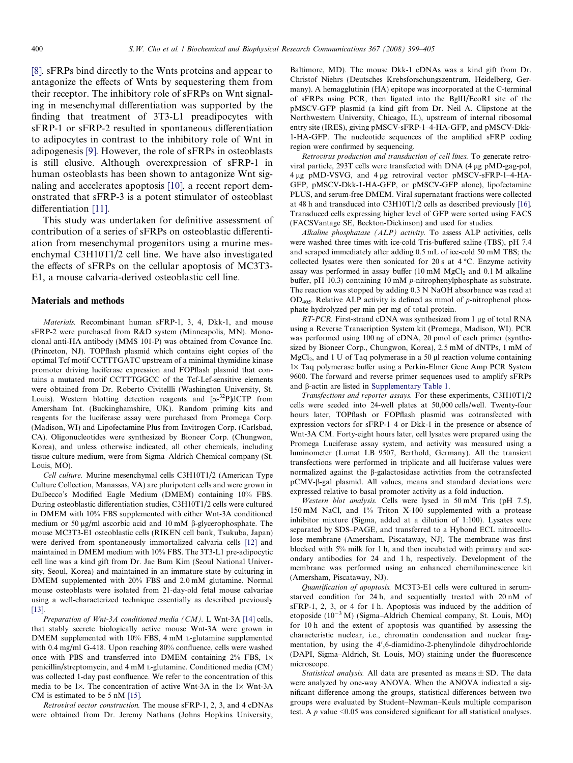[\[8\]](#page-5-0). sFRPs bind directly to the Wnts proteins and appear to antagonize the effects of Wnts by sequestering them from their receptor. The inhibitory role of sFRPs on Wnt signaling in mesenchymal differentiation was supported by the finding that treatment of 3T3-L1 preadipocytes with sFRP-1 or sFRP-2 resulted in spontaneous differentiation to adipocytes in contrast to the inhibitory role of Wnt in adipogenesis [\[9\].](#page-5-0) However, the role of sFRPs in osteoblasts is still elusive. Although overexpression of sFRP-1 in human osteoblasts has been shown to antagonize Wnt signaling and accelerates apoptosis [\[10\],](#page-5-0) a recent report demonstrated that sFRP-3 is a potent stimulator of osteoblast differentiation [\[11\]](#page-5-0).

This study was undertaken for definitive assessment of contribution of a series of sFRPs on osteoblastic differentiation from mesenchymal progenitors using a murine mesenchymal C3H10T1/2 cell line. We have also investigated the effects of sFRPs on the cellular apoptosis of MC3T3- E1, a mouse calvaria-derived osteoblastic cell line.

#### Materials and methods

Materials. Recombinant human sFRP-1, 3, 4, Dkk-1, and mouse sFRP-2 were purchased from R&D system (Minneapolis, MN). Monoclonal anti-HA antibody (MMS 101-P) was obtained from Covance Inc. (Princeton, NJ). TOPflash plasmid which contains eight copies of the optimal Tcf motif CCTTTGATC upstream of a minimal thymidine kinase promoter driving luciferase expression and FOPflash plasmid that contains a mutated motif CCTTTGGCC of the Tcf-Lef-sensitive elements were obtained from Dr. Roberto Civitellli (Washington University, St. Louis). Western blotting detection reagents and  $[\alpha^{-32}P]dCTP$  from Amersham Int. (Buckinghamshire, UK). Random priming kits and reagents for the luciferase assay were purchased from Promega Corp. (Madison, WI) and Lipofectamine Plus from Invitrogen Corp. (Carlsbad, CA). Oligonucleotides were synthesized by Bioneer Corp. (Chungwon, Korea), and unless otherwise indicated, all other chemicals, including tissue culture medium, were from Sigma–Aldrich Chemical company (St. Louis, MO).

Cell culture. Murine mesenchymal cells C3H10T1/2 (American Type Culture Collection, Manassas, VA) are pluripotent cells and were grown in Dulbecco's Modified Eagle Medium (DMEM) containing 10% FBS. During osteoblastic differentiation studies, C3H10T1/2 cells were cultured in DMEM with 10% FBS supplemented with either Wnt-3A conditioned medium or 50  $\mu$ g/ml ascorbic acid and 10 mM  $\beta$ -glycerophosphate. The mouse MC3T3-E1 osteoblastic cells (RIKEN cell bank, Tsukuba, Japan) were derived from spontaneously immortalized calvaria cells [\[12\]](#page-5-0) and maintained in DMEM medium with 10% FBS. The 3T3-L1 pre-adipocytic cell line was a kind gift from Dr. Jae Bum Kim (Seoul National University, Seoul, Korea) and maintained in an immature state by culturing in DMEM supplemented with 20% FBS and 2.0 mM glutamine. Normal mouse osteoblasts were isolated from 21-day-old fetal mouse calvariae using a well-characterized technique essentially as described previously [\[13\].](#page-5-0)

Preparation of Wnt-3A conditioned media (CM). L Wnt-3A [\[14\]](#page-5-0) cells, that stably secrete biologically active mouse Wnt-3A were grown in DMEM supplemented with 10% FBS, 4 mM L-glutamine supplemented with 0.4 mg/ml G-418. Upon reaching 80% confluence, cells were washed once with PBS and transferred into DMEM containing  $2\%$  FBS,  $1\times$ penicillin/streptomycin, and 4 mM L-glutamine. Conditioned media (CM) was collected 1-day past confluence. We refer to the concentration of this media to be 1 $\times$ . The concentration of active Wnt-3A in the 1 $\times$  Wnt-3A CM is estimated to be 5 nM [\[15\]](#page-5-0).

Retroviral vector construction. The mouse sFRP-1, 2, 3, and 4 cDNAs were obtained from Dr. Jeremy Nathans (Johns Hopkins University,

Baltimore, MD). The mouse Dkk-1 cDNAs was a kind gift from Dr. Christof Niehrs (Deutsches Krebsforschungszentrum, Heidelberg, Germany). A hemagglutinin (HA) epitope was incorporated at the C-terminal of sFRPs using PCR, then ligated into the BglII/EcoRI site of the pMSCV-GFP plasmid (a kind gift from Dr. Neil A. Clipstone at the Northwestern University, Chicago, IL), upstream of internal ribosomal entry site (IRES), giving pMSCV-sFRP-1–4-HA-GFP, and pMSCV-Dkk-1-HA-GFP. The nucleotide sequences of the amplified sFRP coding region were confirmed by sequencing.

Retrovirus production and transduction of cell lines. To generate retroviral particle, 293T cells were transfected with DNA (4 µg pMD-gag-pol, 4 lg pMD-VSVG, and 4 lg retroviral vector pMSCV-sFRP-1–4-HA-GFP, pMSCV-Dkk-1-HA-GFP, or pMSCV-GFP alone), lipofectamine PLUS, and serum-free DMEM. Viral supernatant fractions were collected at 48 h and transduced into C3H10T1/2 cells as described previously [\[16\].](#page-5-0) Transduced cells expressing higher level of GFP were sorted using FACS (FACSVantage SE, Beckton-Dickinson) and used for studies.

Alkaline phosphatase (ALP) activity. To assess ALP activities, cells were washed three times with ice-cold Tris-buffered saline (TBS), pH 7.4 and scraped immediately after adding 0.5 mL of ice-cold 50 mM TBS; the collected lysates were then sonicated for 20 s at  $4^{\circ}$ C. Enzyme activity assay was performed in assay buffer  $(10 \text{ mM } MgCl<sub>2</sub>$  and  $0.1 \text{ M }$  alkaline buffer, pH 10.3) containing 10 mM p-nitrophenylphosphate as substrate. The reaction was stopped by adding 0.3 N NaOH absorbance was read at  $OD<sub>405</sub>$ . Relative ALP activity is defined as mmol of p-nitrophenol phosphate hydrolyzed per min per mg of total protein.

 $RT-PCR$ . First-strand cDNA was synthesized from 1 µg of total RNA using a Reverse Transcription System kit (Promega, Madison, WI). PCR was performed using 100 ng of cDNA, 20 pmol of each primer (synthesized by Bioneer Corp., Chungwon, Korea), 2.5 mM of dNTPs, 1 mM of  $MgCl<sub>2</sub>$ , and 1 U of Taq polymerase in a 50  $\mu$ l reaction volume containing 1× Taq polymerase buffer using a Perkin-Elmer Gene Amp PCR System 9600. The forward and reverse primer sequences used to amplify sFRPs and  $\beta$ -actin are listed in Supplementary Table 1.

Transfections and reporter assays. For these experiments, C3H10T1/2 cells were seeded into 24-well plates at 50,000 cells/well. Twenty-four hours later, TOPflash or FOPflash plasmid was cotransfected with expression vectors for sFRP-1–4 or Dkk-1 in the presence or absence of Wnt-3A CM. Forty-eight hours later, cell lysates were prepared using the Promega Luciferase assay system, and activity was measured using a luminometer (Lumat LB 9507, Berthold, Germany). All the transient transfections were performed in triplicate and all luciferase values were normalized against the b-galactosidase activities from the cotransfected pCMV-b-gal plasmid. All values, means and standard deviations were expressed relative to basal promoter activity as a fold induction.

Western blot analysis. Cells were lysed in 50 mM Tris (pH 7.5), 150 mM NaCl, and 1% Triton X-100 supplemented with a protease inhibitor mixture (Sigma, added at a dilution of 1:100). Lysates were separated by SDS–PAGE, and transferred to a Hybond ECL nitrocellulose membrane (Amersham, Piscataway, NJ). The membrane was first blocked with 5% milk for 1 h, and then incubated with primary and secondary antibodies for 24 and 1 h, respectively. Development of the membrane was performed using an enhanced chemiluminescence kit (Amersham, Piscataway, NJ).

Quantification of apoptosis. MC3T3-E1 cells were cultured in serumstarved condition for 24 h, and sequentially treated with 20 nM of sFRP-1, 2, 3, or 4 for 1 h. Apoptosis was induced by the addition of etoposide (10<sup>-3</sup> M) (Sigma-Aldrich Chemical company, St. Louis, MO) for 10 h and the extent of apoptosis was quantified by assessing the characteristic nuclear, i.e., chromatin condensation and nuclear fragmentation, by using the 4',6-diamidino-2-phenylindole dihydrochloride (DAPI, Sigma–Aldrich, St. Louis, MO) staining under the fluorescence microscope.

Statistical analysis. All data are presented as means  $\pm$  SD. The data were analyzed by one-way ANOVA. When the ANOVA indicated a significant difference among the groups, statistical differences between two groups were evaluated by Student–Newman–Keuls multiple comparison test. A  $p$  value <0.05 was considered significant for all statistical analyses.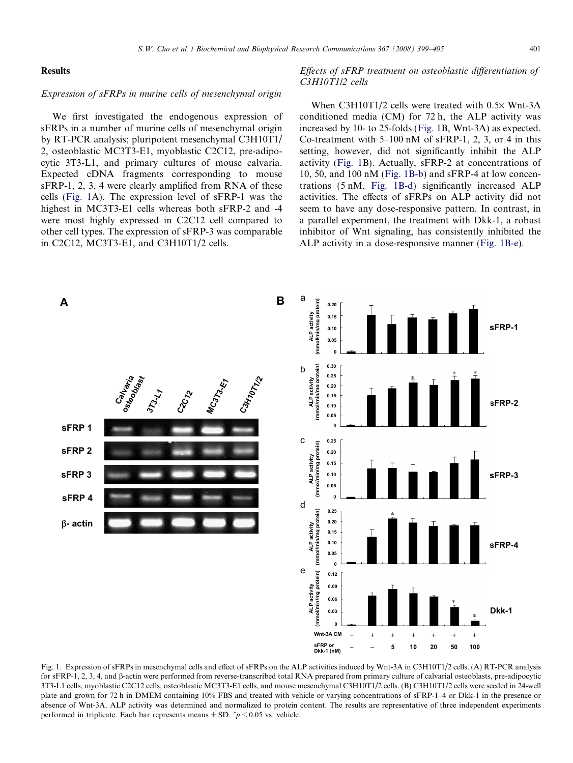## **Results**

## Expression of sFRPs in murine cells of mesenchymal origin

We first investigated the endogenous expression of sFRPs in a number of murine cells of mesenchymal origin by RT-PCR analysis; pluripotent mesenchymal C3H10T1/ 2, osteoblastic MC3T3-E1, myoblastic C2C12, pre-adipocytic 3T3-L1, and primary cultures of mouse calvaria. Expected cDNA fragments corresponding to mouse sFRP-1, 2, 3, 4 were clearly amplified from RNA of these cells (Fig. 1A). The expression level of sFRP-1 was the highest in MC3T3-E1 cells whereas both sFRP-2 and -4 were most highly expressed in C2C12 cell compared to other cell types. The expression of sFRP-3 was comparable in C2C12, MC3T3-E1, and C3H10T1/2 cells.

# Effects of sFRP treatment on osteoblastic differentiation of C3H10T1/2 cells

When  $C3H10T1/2$  cells were treated with  $0.5\times$  Wnt-3A conditioned media (CM) for 72 h, the ALP activity was increased by 10- to 25-folds (Fig. 1B, Wnt-3A) as expected. Co-treatment with  $5-100$  nM of sFRP-1, 2, 3, or 4 in this setting, however, did not significantly inhibit the ALP activity (Fig. 1B). Actually, sFRP-2 at concentrations of 10, 50, and 100 nM (Fig. 1B-b) and sFRP-4 at low concentrations (5 nM, Fig. 1B-d) significantly increased ALP activities. The effects of sFRPs on ALP activity did not seem to have any dose-responsive pattern. In contrast, in a parallel experiment, the treatment with Dkk-1, a robust inhibitor of Wnt signaling, has consistently inhibited the ALP activity in a dose-responsive manner (Fig. 1B-e).



Fig. 1. Expression of sFRPs in mesenchymal cells and effect of sFRPs on the ALP activities induced by Wnt-3A in C3H10T1/2 cells. (A) RT-PCR analysis for sFRP-1, 2, 3, 4, and b-actin were performed from reverse-transcribed total RNA prepared from primary culture of calvarial osteoblasts, pre-adipocytic 3T3-L1 cells, myoblastic C2C12 cells, osteoblastic MC3T3-E1 cells, and mouse mesenchymal C3H10T1/2 cells. (B) C3H10T1/2 cells were seeded in 24-well plate and grown for 72 h in DMEM containing 10% FBS and treated with vehicle or varying concentrations of sFRP-1–4 or Dkk-1 in the presence or absence of Wnt-3A. ALP activity was determined and normalized to protein content. The results are representative of three independent experiments performed in triplicate. Each bar represents means  $\pm$  SD.  $\gamma$   $> 0.05$  vs. vehicle.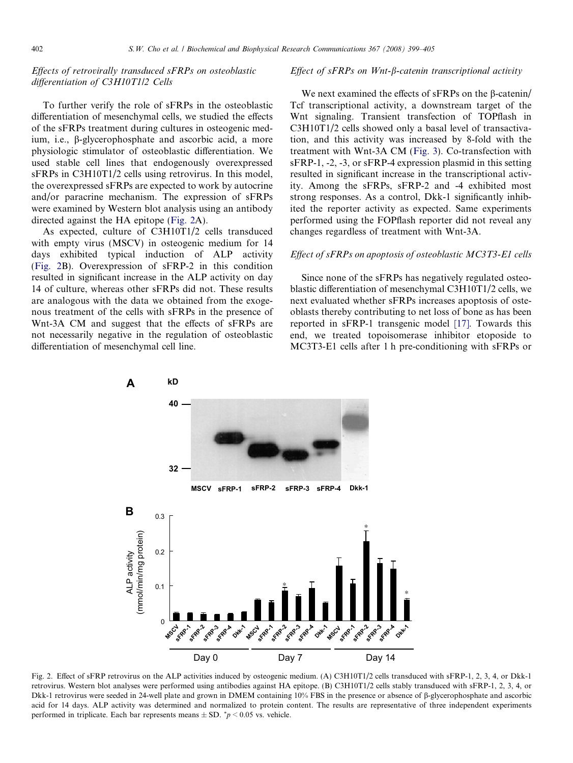# Effects of retrovirally transduced sFRPs on osteoblastic differentiation of C3H10T1/2 Cells

To further verify the role of sFRPs in the osteoblastic differentiation of mesenchymal cells, we studied the effects of the sFRPs treatment during cultures in osteogenic medium, i.e., b-glycerophosphate and ascorbic acid, a more physiologic stimulator of osteoblastic differentiation. We used stable cell lines that endogenously overexpressed sFRPs in C3H10T1/2 cells using retrovirus. In this model, the overexpressed sFRPs are expected to work by autocrine and/or paracrine mechanism. The expression of sFRPs were examined by Western blot analysis using an antibody directed against the HA epitope (Fig. 2A).

As expected, culture of C3H10T1/2 cells transduced with empty virus (MSCV) in osteogenic medium for 14 days exhibited typical induction of ALP activity (Fig. 2B). Overexpression of sFRP-2 in this condition resulted in significant increase in the ALP activity on day 14 of culture, whereas other sFRPs did not. These results are analogous with the data we obtained from the exogenous treatment of the cells with sFRPs in the presence of Wnt-3A CM and suggest that the effects of sFRPs are not necessarily negative in the regulation of osteoblastic differentiation of mesenchymal cell line.

### Effect of  $sFRPs$  on Wnt- $\beta$ -catenin transcriptional activity

We next examined the effects of sFRPs on the B-catenin/ Tcf transcriptional activity, a downstream target of the Wnt signaling. Transient transfection of TOPflash in C3H10T1/2 cells showed only a basal level of transactivation, and this activity was increased by 8-fold with the treatment with Wnt-3A CM ([Fig. 3\)](#page-4-0). Co-transfection with sFRP-1, -2, -3, or sFRP-4 expression plasmid in this setting resulted in significant increase in the transcriptional activity. Among the sFRPs, sFRP-2 and -4 exhibited most strong responses. As a control, Dkk-1 significantly inhibited the reporter activity as expected. Same experiments performed using the FOPflash reporter did not reveal any changes regardless of treatment with Wnt-3A.

### Effect of sFRPs on apoptosis of osteoblastic MC3T3-E1 cells

Since none of the sFRPs has negatively regulated osteoblastic differentiation of mesenchymal C3H10T1/2 cells, we next evaluated whether sFRPs increases apoptosis of osteoblasts thereby contributing to net loss of bone as has been reported in sFRP-1 transgenic model [\[17\].](#page-5-0) Towards this end, we treated topoisomerase inhibitor etoposide to MC3T3-E1 cells after 1 h pre-conditioning with sFRPs or



Fig. 2. Effect of sFRP retrovirus on the ALP activities induced by osteogenic medium. (A) C3H10T1/2 cells transduced with sFRP-1, 2, 3, 4, or Dkk-1 retrovirus. Western blot analyses were performed using antibodies against HA epitope. (B) C3H10T1/2 cells stably transduced with sFRP-1, 2, 3, 4, or Dkk-1 retrovirus were seeded in 24-well plate and grown in DMEM containing 10% FBS in the presence or absence of b-glycerophosphate and ascorbic acid for 14 days. ALP activity was determined and normalized to protein content. The results are representative of three independent experiments performed in triplicate. Each bar represents means  $\pm$  SD.  $\gamma$   $> 0.05$  vs. vehicle.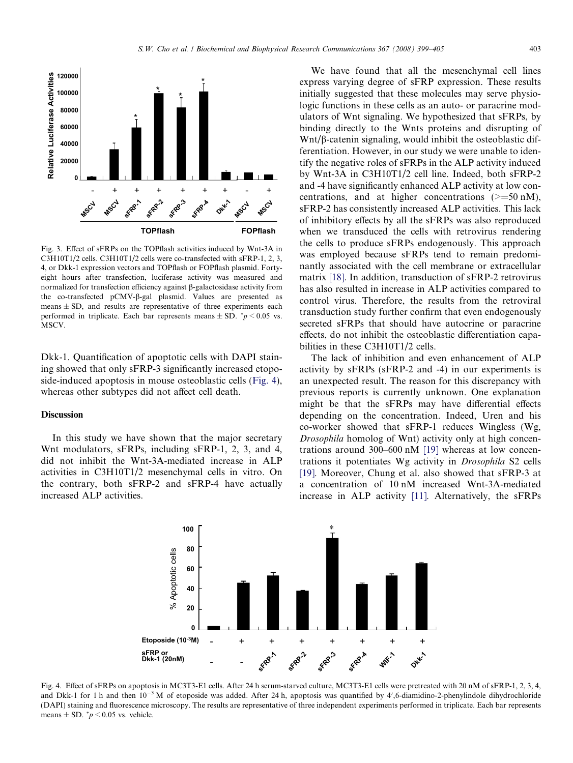<span id="page-4-0"></span>

Fig. 3. Effect of sFRPs on the TOPflash activities induced by Wnt-3A in C3H10T1/2 cells. C3H10T1/2 cells were co-transfected with sFRP-1, 2, 3, 4, or Dkk-1 expression vectors and TOPflash or FOPflash plasmid. Fortyeight hours after transfection, luciferase activity was measured and normalized for transfection efficiency against  $\beta$ -galactosidase activity from the co-transfected pCMV-β-gal plasmid. Values are presented as means  $\pm$  SD, and results are representative of three experiments each performed in triplicate. Each bar represents means  $\pm$  SD.  $\sqrt[e]{p}$  = 0.05 vs. MSCV.

Dkk-1. Quantification of apoptotic cells with DAPI staining showed that only sFRP-3 significantly increased etoposide-induced apoptosis in mouse osteoblastic cells (Fig. 4), whereas other subtypes did not affect cell death.

### **Discussion**

In this study we have shown that the major secretary Wnt modulators, sFRPs, including sFRP-1, 2, 3, and 4, did not inhibit the Wnt-3A-mediated increase in ALP activities in C3H10T1/2 mesenchymal cells in vitro. On the contrary, both sFRP-2 and sFRP-4 have actually increased ALP activities.

We have found that all the mesenchymal cell lines express varying degree of sFRP expression. These results initially suggested that these molecules may serve physiologic functions in these cells as an auto- or paracrine modulators of Wnt signaling. We hypothesized that sFRPs, by binding directly to the Wnts proteins and disrupting of  $Wnt/\beta$ -catenin signaling, would inhibit the osteoblastic differentiation. However, in our study we were unable to identify the negative roles of sFRPs in the ALP activity induced by Wnt-3A in C3H10T1/2 cell line. Indeed, both sFRP-2 and -4 have significantly enhanced ALP activity at low concentrations, and at higher concentrations  $(>=50 \text{ nM})$ , sFRP-2 has consistently increased ALP activities. This lack of inhibitory effects by all the sFRPs was also reproduced when we transduced the cells with retrovirus rendering the cells to produce sFRPs endogenously. This approach was employed because sFRPs tend to remain predominantly associated with the cell membrane or extracellular matrix [\[18\].](#page-5-0) In addition, transduction of sFRP-2 retrovirus has also resulted in increase in ALP activities compared to control virus. Therefore, the results from the retroviral transduction study further confirm that even endogenously secreted sFRPs that should have autocrine or paracrine effects, do not inhibit the osteoblastic differentiation capabilities in these C3H10T1/2 cells.

The lack of inhibition and even enhancement of ALP activity by sFRPs (sFRP-2 and -4) in our experiments is an unexpected result. The reason for this discrepancy with previous reports is currently unknown. One explanation might be that the sFRPs may have differential effects depending on the concentration. Indeed, Uren and his co-worker showed that sFRP-1 reduces Wingless (Wg, Drosophila homolog of Wnt) activity only at high concentrations around 300–600 nM [\[19\]](#page-5-0) whereas at low concentrations it potentiates Wg activity in Drosophila S2 cells [\[19\].](#page-5-0) Moreover, Chung et al. also showed that sFRP-3 at a concentration of 10 nM increased Wnt-3A-mediated increase in ALP activity [\[11\]](#page-5-0). Alternatively, the sFRPs



Fig. 4. Effect of sFRPs on apoptosis in MC3T3-E1 cells. After 24 h serum-starved culture, MC3T3-E1 cells were pretreated with 20 nM of sFRP-1, 2, 3, 4, and Dkk-1 for 1 h and then  $10^{-3}$  M of etoposide was added. After 24 h, apoptosis was quantified by 4',6-diamidino-2-phenylindole dihydrochloride (DAPI) staining and fluorescence microscopy. The results are representative of three independent experiments performed in triplicate. Each bar represents means  $\pm$  SD.  $\degree p$  < 0.05 vs. vehicle.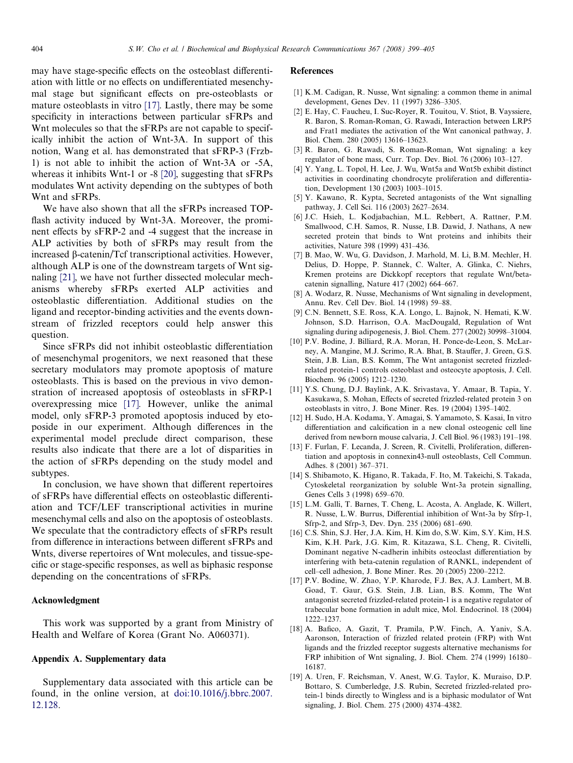<span id="page-5-0"></span>may have stage-specific effects on the osteoblast differentiation with little or no effects on undifferentiated mesenchymal stage but significant effects on pre-osteoblasts or mature osteoblasts in vitro [17]. Lastly, there may be some specificity in interactions between particular sFRPs and Wnt molecules so that the sFRPs are not capable to specifically inhibit the action of Wnt-3A. In support of this notion, Wang et al. has demonstrated that sFRP-3 (Frzb-1) is not able to inhibit the action of Wnt-3A or -5A, whereas it inhibits Wnt-1 or -8 [\[20\],](#page-6-0) suggesting that sFRPs modulates Wnt activity depending on the subtypes of both Wnt and sFRPs.

We have also shown that all the sFRPs increased TOPflash activity induced by Wnt-3A. Moreover, the prominent effects by sFRP-2 and -4 suggest that the increase in ALP activities by both of sFRPs may result from the increased  $\beta$ -catenin/Tcf transcriptional activities. However, although ALP is one of the downstream targets of Wnt signaling [\[21\],](#page-6-0) we have not further dissected molecular mechanisms whereby sFRPs exerted ALP activities and osteoblastic differentiation. Additional studies on the ligand and receptor-binding activities and the events downstream of frizzled receptors could help answer this question.

Since sFRPs did not inhibit osteoblastic differentiation of mesenchymal progenitors, we next reasoned that these secretary modulators may promote apoptosis of mature osteoblasts. This is based on the previous in vivo demonstration of increased apoptosis of osteoblasts in sFRP-1 overexpressing mice [17]. However, unlike the animal model, only sFRP-3 promoted apoptosis induced by etoposide in our experiment. Although differences in the experimental model preclude direct comparison, these results also indicate that there are a lot of disparities in the action of sFRPs depending on the study model and subtypes.

In conclusion, we have shown that different repertoires of sFRPs have differential effects on osteoblastic differentiation and TCF/LEF transcriptional activities in murine mesenchymal cells and also on the apoptosis of osteoblasts. We speculate that the contradictory effects of sFRPs result from difference in interactions between different sFRPs and Wnts, diverse repertoires of Wnt molecules, and tissue-specific or stage-specific responses, as well as biphasic response depending on the concentrations of sFRPs.

# Acknowledgment

This work was supported by a grant from Ministry of Health and Welfare of Korea (Grant No. A060371).

## Appendix A. Supplementary data

Supplementary data associated with this article can be found, in the online version, at [doi:10.1016/j.bbrc.2007.](http://dx.doi.org/10.1016/j.bbrc.2007.12.128) [12.128](http://dx.doi.org/10.1016/j.bbrc.2007.12.128).

#### References

- [1] K.M. Cadigan, R. Nusse, Wnt signaling: a common theme in animal development, Genes Dev. 11 (1997) 3286–3305.
- [2] E. Hay, C. Faucheu, I. Suc-Royer, R. Touitou, V. Stiot, B. Vayssiere, R. Baron, S. Roman-Roman, G. Rawadi, Interaction between LRP5 and Frat1 mediates the activation of the Wnt canonical pathway, J. Biol. Chem. 280 (2005) 13616–13623.
- [3] R. Baron, G. Rawadi, S. Roman-Roman, Wnt signaling: a key regulator of bone mass, Curr. Top. Dev. Biol. 76 (2006) 103–127.
- [4] Y. Yang, L. Topol, H. Lee, J. Wu, Wnt5a and Wnt5b exhibit distinct activities in coordinating chondrocyte proliferation and differentiation, Development 130 (2003) 1003–1015.
- [5] Y. Kawano, R. Kypta, Secreted antagonists of the Wnt signalling pathway, J. Cell Sci. 116 (2003) 2627–2634.
- [6] J.C. Hsieh, L. Kodjabachian, M.L. Rebbert, A. Rattner, P.M. Smallwood, C.H. Samos, R. Nusse, I.B. Dawid, J. Nathans, A new secreted protein that binds to Wnt proteins and inhibits their activities, Nature 398 (1999) 431–436.
- [7] B. Mao, W. Wu, G. Davidson, J. Marhold, M. Li, B.M. Mechler, H. Delius, D. Hoppe, P. Stannek, C. Walter, A. Glinka, C. Niehrs, Kremen proteins are Dickkopf receptors that regulate Wnt/betacatenin signalling, Nature 417 (2002) 664–667.
- [8] A. Wodarz, R. Nusse, Mechanisms of Wnt signaling in development, Annu. Rev. Cell Dev. Biol. 14 (1998) 59–88.
- [9] C.N. Bennett, S.E. Ross, K.A. Longo, L. Bajnok, N. Hemati, K.W. Johnson, S.D. Harrison, O.A. MacDougald, Regulation of Wnt signaling during adipogenesis, J. Biol. Chem. 277 (2002) 30998–31004.
- [10] P.V. Bodine, J. Billiard, R.A. Moran, H. Ponce-de-Leon, S. McLarney, A. Mangine, M.J. Scrimo, R.A. Bhat, B. Stauffer, J. Green, G.S. Stein, J.B. Lian, B.S. Komm, The Wnt antagonist secreted frizzledrelated protein-1 controls osteoblast and osteocyte apoptosis, J. Cell. Biochem. 96 (2005) 1212–1230.
- [11] Y.S. Chung, D.J. Baylink, A.K. Srivastava, Y. Amaar, B. Tapia, Y. Kasukawa, S. Mohan, Effects of secreted frizzled-related protein 3 on osteoblasts in vitro, J. Bone Miner. Res. 19 (2004) 1395–1402.
- [12] H. Sudo, H.A. Kodama, Y. Amagai, S. Yamamoto, S. Kasai, In vitro differentiation and calcification in a new clonal osteogenic cell line derived from newborn mouse calvaria, J. Cell Biol. 96 (1983) 191–198.
- [13] F. Furlan, F. Lecanda, J. Screen, R. Civitelli, Proliferation, differentiation and apoptosis in connexin43-null osteoblasts, Cell Commun. Adhes. 8 (2001) 367–371.
- [14] S. Shibamoto, K. Higano, R. Takada, F. Ito, M. Takeichi, S. Takada, Cytoskeletal reorganization by soluble Wnt-3a protein signalling, Genes Cells 3 (1998) 659–670.
- [15] L.M. Galli, T. Barnes, T. Cheng, L. Acosta, A. Anglade, K. Willert, R. Nusse, L.W. Burrus, Differential inhibition of Wnt-3a by Sfrp-1, Sfrp-2, and Sfrp-3, Dev. Dyn. 235 (2006) 681–690.
- [16] C.S. Shin, S.J. Her, J.A. Kim, H. Kim do, S.W. Kim, S.Y. Kim, H.S. Kim, K.H. Park, J.G. Kim, R. Kitazawa, S.L. Cheng, R. Civitelli, Dominant negative N-cadherin inhibits osteoclast differentiation by interfering with beta-catenin regulation of RANKL, independent of cell–cell adhesion, J. Bone Miner. Res. 20 (2005) 2200–2212.
- [17] P.V. Bodine, W. Zhao, Y.P. Kharode, F.J. Bex, A.J. Lambert, M.B. Goad, T. Gaur, G.S. Stein, J.B. Lian, B.S. Komm, The Wnt antagonist secreted frizzled-related protein-1 is a negative regulator of trabecular bone formation in adult mice, Mol. Endocrinol. 18 (2004) 1222–1237.
- [18] A. Bafico, A. Gazit, T. Pramila, P.W. Finch, A. Yaniv, S.A. Aaronson, Interaction of frizzled related protein (FRP) with Wnt ligands and the frizzled receptor suggests alternative mechanisms for FRP inhibition of Wnt signaling, J. Biol. Chem. 274 (1999) 16180– 16187.
- [19] A. Uren, F. Reichsman, V. Anest, W.G. Taylor, K. Muraiso, D.P. Bottaro, S. Cumberledge, J.S. Rubin, Secreted frizzled-related protein-1 binds directly to Wingless and is a biphasic modulator of Wnt signaling, J. Biol. Chem. 275 (2000) 4374–4382.